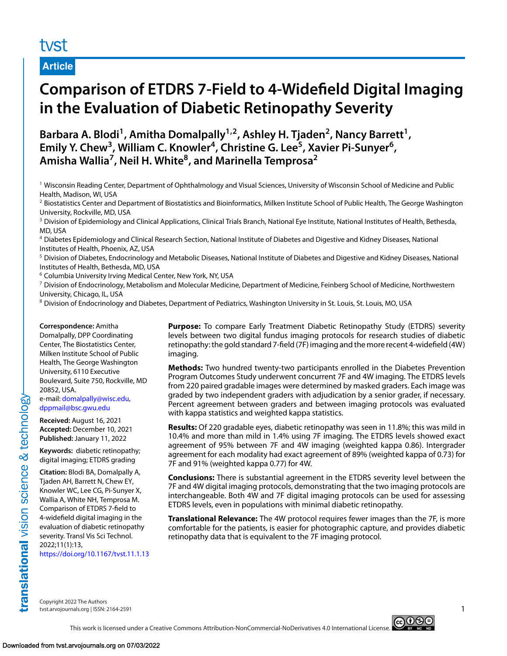# tyst

**Article**

# **Comparison of ETDRS 7-Field to 4-Widefield Digital Imaging in the Evaluation of Diabetic Retinopathy Severity**

Barbara A. Blodi<sup>1</sup>, Amitha Domalpally<sup>1,2</sup>, Ashley H. Tjaden<sup>2</sup>, Nancy Barrett<sup>1</sup>, Emily Y. Chew<sup>3</sup>, William C. Knowler<sup>4</sup>, Christine G. Lee<sup>5</sup>, Xavier Pi-Sunyer<sup>6</sup>, Amisha Wallia<sup>7</sup>, Neil H. White<sup>8</sup>, and Marinella Temprosa<sup>2</sup>

<sup>1</sup> Wisconsin Reading Center, Department of Ophthalmology and Visual Sciences, University of Wisconsin School of Medicine and Public Health, Madison, WI, USA

<sup>2</sup> Biostatistics Center and Department of Biostatistics and Bioinformatics, Milken Institute School of Public Health, The George Washington University, Rockville, MD, USA

<sup>3</sup> Division of Epidemiology and Clinical Applications, Clinical Trials Branch, National Eye Institute, National Institutes of Health, Bethesda, MD, USA

<sup>4</sup> Diabetes Epidemiology and Clinical Research Section, National Institute of Diabetes and Digestive and Kidney Diseases, National Institutes of Health, Phoenix, AZ, USA

<sup>5</sup> Division of Diabetes, Endocrinology and Metabolic Diseases, National Institute of Diabetes and Digestive and Kidney Diseases, National Institutes of Health, Bethesda, MD, USA

<sup>6</sup> Columbia University Irving Medical Center, New York, NY, USA

 $^7$  Division of Endocrinology, Metabolism and Molecular Medicine, Department of Medicine, Feinberg School of Medicine, Northwestern University, Chicago, IL, USA

8 Division of Endocrinology and Diabetes, Department of Pediatrics, Washington University in St. Louis, St. Louis, MO, USA

#### **Correspondence:** Amitha

Domalpally, DPP Coordinating Center, The Biostatistics Center, Milken Institute School of Public Health, The George Washington University, 6110 Executive Boulevard, Suite 750, Rockville, MD 20852, USA.

e-mail: [domalpally@wisc.edu,](mailto:domalpally@wisc.edu) [dppmail@bsc.gwu.edu](mailto:dppmail@bsc.gwu.edu)

**Received:** August 16, 2021 **Accepted:** December 10, 2021 **Published:** January 11, 2022

**Keywords:** diabetic retinopathy; digital imaging; ETDRS grading

**Citation:** Blodi BA, Domalpally A, Tjaden AH, Barrett N, Chew EY, Knowler WC, Lee CG, Pi-Sunyer X, Wallia A, White NH, Temprosa M. Comparison of ETDRS 7-field to 4-widefield digital imaging in the evaluation of diabetic retinopathy severity. Transl Vis Sci Technol. 2022;11(1):13,

<https://doi.org/10.1167/tvst.11.1.13>

**Purpose:** To compare Early Treatment Diabetic Retinopathy Study (ETDRS) severity levels between two digital fundus imaging protocols for research studies of diabetic retinopathy: the gold standard 7-field (7F) imaging and the more recent 4-widefield (4W) imaging.

**Methods:** Two hundred twenty-two participants enrolled in the Diabetes Prevention Program Outcomes Study underwent concurrent 7F and 4W imaging. The ETDRS levels from 220 paired gradable images were determined by masked graders. Each image was graded by two independent graders with adjudication by a senior grader, if necessary. Percent agreement between graders and between imaging protocols was evaluated with kappa statistics and weighted kappa statistics.

**Results:** Of 220 gradable eyes, diabetic retinopathy was seen in 11.8%; this was mild in 10.4% and more than mild in 1.4% using 7F imaging. The ETDRS levels showed exact agreement of 95% between 7F and 4W imaging (weighted kappa 0.86). Intergrader agreement for each modality had exact agreement of 89% (weighted kappa of 0.73) for 7F and 91% (weighted kappa 0.77) for 4W.

**Conclusions:** There is substantial agreement in the ETDRS severity level between the 7F and 4W digital imaging protocols, demonstrating that the two imaging protocols are interchangeable. Both 4W and 7F digital imaging protocols can be used for assessing ETDRS levels, even in populations with minimal diabetic retinopathy.

**Translational Relevance:** The 4W protocol requires fewer images than the 7F, is more comfortable for the patients, is easier for photographic capture, and provides diabetic retinopathy data that is equivalent to the 7F imaging protocol.

Copyright 2022 The Authors tvst.arvojournals.org | ISSN: 2164-2591 1

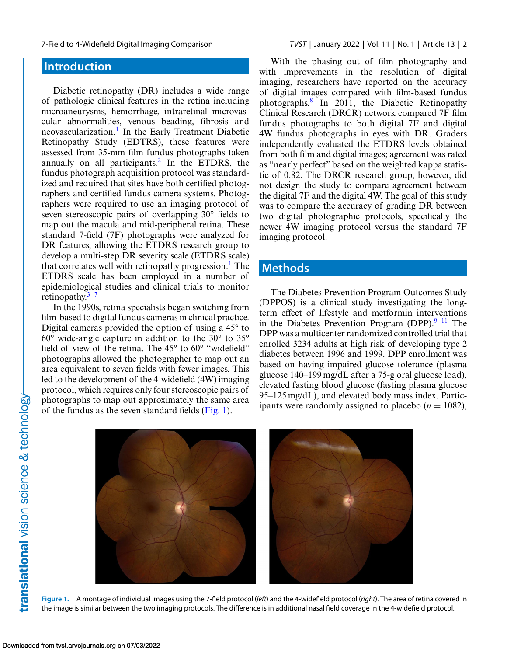# <span id="page-1-0"></span>**Introduction**

Diabetic retinopathy (DR) includes a wide range of pathologic clinical features in the retina including microaneurysms, hemorrhage, intraretinal microvascular abnormalities, venous beading, fibrosis and neovascularization.<sup>[1](#page-7-0)</sup> In the Early Treatment Diabetic Retinopathy Study (EDTRS), these features were assessed from 35-mm film fundus photographs taken annually on all participants.<sup>[2](#page-7-0)</sup> In the ETDRS, the fundus photograph acquisition protocol was standardized and required that sites have both certified photographers and certified fundus camera systems. Photographers were required to use an imaging protocol of seven stereoscopic pairs of overlapping 30° fields to map out the macula and mid-peripheral retina. These standard 7-field (7F) photographs were analyzed for DR features, allowing the ETDRS research group to develop a multi-step DR severity scale (ETDRS scale) that correlates well with retinopathy progression.<sup>1</sup> The ETDRS scale has been employed in a number of epidemiological studies and clinical trials to monitor retinopathy. $3-7$ 

In the 1990s, retina specialists began switching from film-based to digital fundus cameras in clinical practice. Digital cameras provided the option of using a 45° to 60° wide-angle capture in addition to the 30° to 35° field of view of the retina. The 45° to 60° "widefield" photographs allowed the photographer to map out an area equivalent to seven fields with fewer images. This led to the development of the 4-widefield (4W) imaging protocol, which requires only four stereoscopic pairs of photographs to map out approximately the same area of the fundus as the seven standard fields (Fig. 1).

With the phasing out of film photography and with improvements in the resolution of digital imaging, researchers have reported on the accuracy of digital images compared with film-based fundus photographs[.8](#page-7-0) In 2011, the Diabetic Retinopathy Clinical Research (DRCR) network compared 7F film fundus photographs to both digital 7F and digital 4W fundus photographs in eyes with DR. Graders independently evaluated the ETDRS levels obtained from both film and digital images; agreement was rated as "nearly perfect" based on the weighted kappa statistic of 0.82. The DRCR research group, however, did not design the study to compare agreement between the digital 7F and the digital 4W. The goal of this study was to compare the accuracy of grading DR between two digital photographic protocols, specifically the newer 4W imaging protocol versus the standard 7F imaging protocol.

# **Methods**

The Diabetes Prevention Program Outcomes Study (DPPOS) is a clinical study investigating the longterm effect of lifestyle and metformin interventions in the Diabetes Prevention Program (DPP). $9-11$  The DPP was a multicenter randomized controlled trial that enrolled 3234 adults at high risk of developing type 2 diabetes between 1996 and 1999. DPP enrollment was based on having impaired glucose tolerance (plasma glucose 140–199 mg/dL after a 75-g oral glucose load), elevated fasting blood glucose (fasting plasma glucose 95–125 mg/dL), and elevated body mass index. Participants were randomly assigned to placebo  $(n = 1082)$ ,



**Figure 1.** A montage of individual images using the 7-field protocol (*left*) and the 4-widefield protocol (*right*). The area of retina covered in the image is similar between the two imaging protocols. The difference is in additional nasal field coverage in the 4-widefield protocol.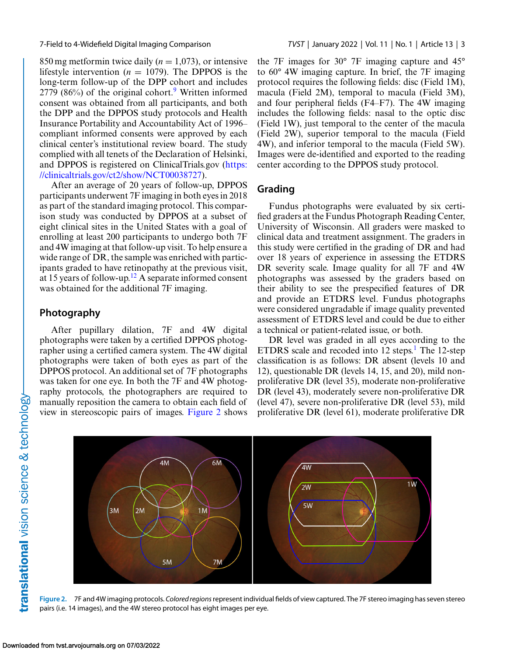850 mg metformin twice daily  $(n = 1,073)$ , or intensive lifestyle intervention ( $n = 1079$ ). The DPPOS is the long-term follow-up of the DPP cohort and includes  $2779$  $2779$  (86%) of the original cohort.<sup>9</sup> Written informed consent was obtained from all participants, and both the DPP and the DPPOS study protocols and Health Insurance Portability and Accountability Act of 1996– compliant informed consents were approved by each clinical center's institutional review board. The study complied with all tenets of the Declaration of Helsinki, [and DPPOS is registered on ClinicalTrials.gov \(https:](https://clinicaltrials.gov/ct2/show/NCT00038727) //clinicaltrials.gov/ct2/show/NCT00038727).

After an average of 20 years of follow-up, DPPOS participants underwent 7F imaging in both eyes in 2018 as part of the standard imaging protocol. This comparison study was conducted by DPPOS at a subset of eight clinical sites in the United States with a goal of enrolling at least 200 participants to undergo both 7F and 4W imaging at that follow-up visit. To help ensure a wide range of DR, the sample was enriched with participants graded to have retinopathy at the previous visit, at 15 years of follow-up.<sup>12</sup> A separate informed consent was obtained for the additional 7F imaging.

#### **Photography**

After pupillary dilation, 7F and 4W digital photographs were taken by a certified DPPOS photographer using a certified camera system. The 4W digital photographs were taken of both eyes as part of the DPPOS protocol. An additional set of 7F photographs was taken for one eye. In both the 7F and 4W photography protocols, the photographers are required to manually reposition the camera to obtain each field of view in stereoscopic pairs of images. Figure 2 shows the 7F images for 30° 7F imaging capture and 45° to 60° 4W imaging capture. In brief, the 7F imaging protocol requires the following fields: disc (Field 1M), macula (Field 2M), temporal to macula (Field 3M), and four peripheral fields (F4–F7). The 4W imaging includes the following fields: nasal to the optic disc (Field 1W), just temporal to the center of the macula (Field 2W), superior temporal to the macula (Field 4W), and inferior temporal to the macula (Field 5W). Images were de-identified and exported to the reading center according to the DPPOS study protocol.

### **Grading**

Fundus photographs were evaluated by six certified graders at the Fundus Photograph Reading Center, University of Wisconsin. All graders were masked to clinical data and treatment assignment. The graders in this study were certified in the grading of DR and had over 18 years of experience in assessing the ETDRS DR severity scale. Image quality for all 7F and 4W photographs was assessed by the graders based on their ability to see the prespecified features of DR and provide an ETDRS level. Fundus photographs were considered ungradable if image quality prevented assessment of ETDRS level and could be due to either a technical or patient-related issue, or both.

DR level was graded in all eyes according to the ETDRS scale and recoded into  $12 \text{ steps}$  $12 \text{ steps}$ <sup>1</sup>. The 12-step classification is as follows: DR absent (levels 10 and 12), questionable DR (levels 14, 15, and 20), mild nonproliferative DR (level 35), moderate non-proliferative DR (level 43), moderately severe non-proliferative DR (level 47), severe non-proliferative DR (level 53), mild proliferative DR (level 61), moderate proliferative DR



**Figure 2.** 7F and 4W imaging protocols. *Colored regions*represent individual fields of view captured. The 7F stereo imaging has seven stereo pairs (i.e. 14 images), and the 4W stereo protocol has eight images per eye.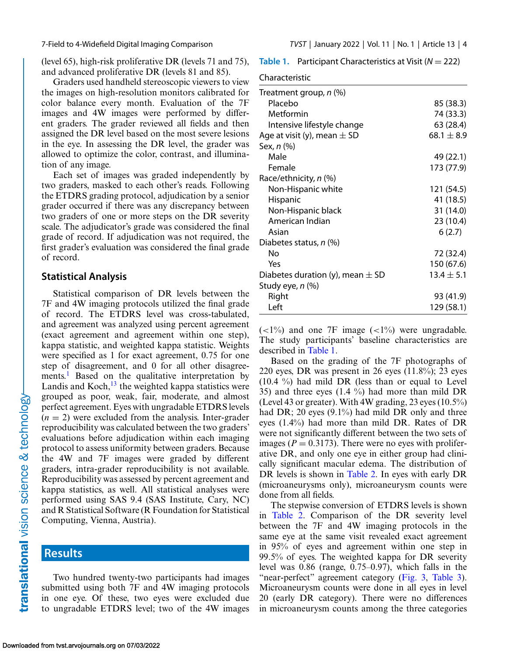(level 65), high-risk proliferative DR (levels 71 and 75), and advanced proliferative DR (levels 81 and 85).

Graders used handheld stereoscopic viewers to view the images on high-resolution monitors calibrated for color balance every month. Evaluation of the 7F images and 4W images were performed by different graders. The grader reviewed all fields and then assigned the DR level based on the most severe lesions in the eye. In assessing the DR level, the grader was allowed to optimize the color, contrast, and illumination of any image.

Each set of images was graded independently by two graders, masked to each other's reads. Following the ETDRS grading protocol, adjudication by a senior grader occurred if there was any discrepancy between two graders of one or more steps on the DR severity scale. The adjudicator's grade was considered the final grade of record. If adjudication was not required, the first grader's evaluation was considered the final grade of record.

#### **Statistical Analysis**

Statistical comparison of DR levels between the 7F and 4W imaging protocols utilized the final grade of record. The ETDRS level was cross-tabulated, and agreement was analyzed using percent agreement (exact agreement and agreement within one step), kappa statistic, and weighted kappa statistic. Weights were specified as 1 for exact agreement, 0.75 for one step of disagreement, and 0 for all other disagreements.<sup>1</sup> Based on the qualitative interpretation by Landis and Koch, $^{13}$  $^{13}$  $^{13}$  the weighted kappa statistics were grouped as poor, weak, fair, moderate, and almost perfect agreement. Eyes with ungradable ETDRS levels  $(n = 2)$  were excluded from the analysis. Inter-grader reproducibility was calculated between the two graders' evaluations before adjudication within each imaging protocol to assess uniformity between graders. Because the 4W and 7F images were graded by different graders, intra-grader reproducibility is not available. Reproducibility was assessed by percent agreement and kappa statistics, as well. All statistical analyses were performed using SAS 9.4 (SAS Institute, Cary, NC) and R Statistical Software (R Foundation for Statistical Computing, Vienna, Austria).

## **Results**

Two hundred twenty-two participants had images submitted using both 7F and 4W imaging protocols in one eye. Of these, two eyes were excluded due to ungradable ETDRS level; two of the 4W images **Table 1.** Participant Characteristics at Visit (*N* = 222)

Characteristics<sup>t</sup>

| Characteristic                       |                |
|--------------------------------------|----------------|
| Treatment group, n (%)               |                |
| Placebo                              | 85 (38.3)      |
| Metformin                            | 74 (33.3)      |
| Intensive lifestyle change           | 63 (28.4)      |
| Age at visit (y), mean $\pm$ SD      | 68.1 $\pm$ 8.9 |
| Sex, n (%)                           |                |
| Male                                 | 49 (22.1)      |
| Female                               | 173 (77.9)     |
| Race/ethnicity, n (%)                |                |
| Non-Hispanic white                   | 121 (54.5)     |
| Hispanic                             | 41 (18.5)      |
| Non-Hispanic black                   | 31 (14.0)      |
| American Indian                      | 23 (10.4)      |
| Asian                                | 6(2.7)         |
| Diabetes status, n (%)               |                |
| Nο                                   | 72 (32.4)      |
| Yes                                  | 150 (67.6)     |
| Diabetes duration (y), mean $\pm$ SD | $13.4 \pm 5.1$ |
| Study eye, n (%)                     |                |
| Right                                | 93 (41.9)      |
| Left                                 | 129 (58.1)     |

 $(<1%)$  and one 7F image  $(<1%)$  were ungradable. The study participants' baseline characteristics are described in Table 1.

Based on the grading of the 7F photographs of 220 eyes, DR was present in 26 eyes  $(11.8\%)$ ; 23 eyes (10.4 %) had mild DR (less than or equal to Level 35) and three eyes  $(1.4 \%)$  had more than mild DR (Level 43 or greater). With 4W grading, 23 eyes (10.5%) had DR; 20 eyes (9.1%) had mild DR only and three eyes (1.4%) had more than mild DR. Rates of DR were not significantly different between the two sets of images ( $P = 0.3173$ ). There were no eyes with proliferative DR, and only one eye in either group had clinically significant macular edema. The distribution of DR levels is shown in [Table 2.](#page-4-0) In eyes with early DR (microaneurysms only), microaneurysm counts were done from all fields.

The stepwise conversion of ETDRS levels is shown in [Table 2.](#page-4-0) Comparison of the DR severity level between the 7F and 4W imaging protocols in the same eye at the same visit revealed exact agreement in 95% of eyes and agreement within one step in 99.5% of eyes. The weighted kappa for DR severity level was 0.86 (range, 0.75–0.97), which falls in the "near-perfect" agreement category [\(Fig. 3,](#page-5-0) [Table 3\)](#page-5-0). Microaneurysm counts were done in all eyes in level 20 (early DR category). There were no differences in microaneurysm counts among the three categories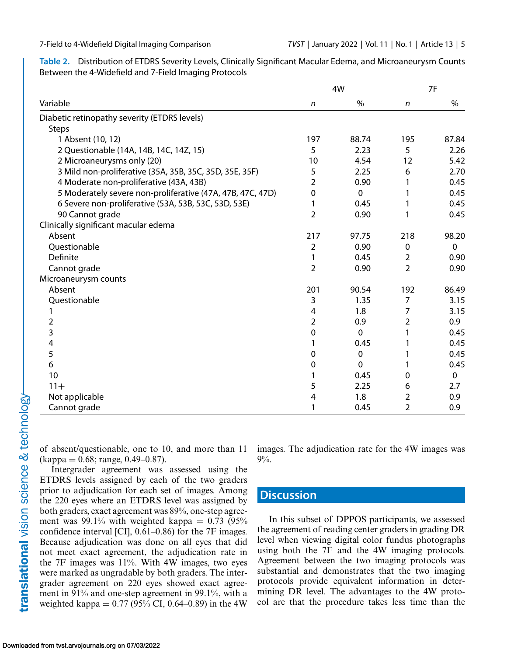<span id="page-4-0"></span>**Table 2.** Distribution of ETDRS Severity Levels, Clinically Significant Macular Edema, and Microaneurysm Counts Between the 4-Widefield and 7-Field Imaging Protocols

|                                                            | 4W               |               | 7F             |             |
|------------------------------------------------------------|------------------|---------------|----------------|-------------|
| Variable                                                   | $\mathsf{n}$     | $\frac{0}{0}$ | $\mathsf{n}$   | $\%$        |
| Diabetic retinopathy severity (ETDRS levels)               |                  |               |                |             |
| <b>Steps</b>                                               |                  |               |                |             |
| 1 Absent (10, 12)                                          | 197              | 88.74         | 195            | 87.84       |
| 2 Questionable (14A, 14B, 14C, 14Z, 15)                    | 5                | 2.23          | 5              | 2.26        |
| 2 Microaneurysms only (20)                                 | 10               | 4.54          | 12             | 5.42        |
| 3 Mild non-proliferative (35A, 35B, 35C, 35D, 35E, 35F)    | 5                | 2.25          | 6              | 2.70        |
| 4 Moderate non-proliferative (43A, 43B)                    | $\overline{2}$   | 0.90          | 1              | 0.45        |
| 5 Moderately severe non-proliferative (47A, 47B, 47C, 47D) | 0                | $\mathbf 0$   | 1              | 0.45        |
| 6 Severe non-proliferative (53A, 53B, 53C, 53D, 53E)       | 1                | 0.45          | 1              | 0.45        |
| 90 Cannot grade                                            | $\overline{2}$   | 0.90          | 1              | 0.45        |
| Clinically significant macular edema                       |                  |               |                |             |
| Absent                                                     | 217              | 97.75         | 218            | 98.20       |
| Questionable                                               | $\overline{2}$   | 0.90          | 0              | $\mathbf 0$ |
| Definite                                                   | 1                | 0.45          | 2              | 0.90        |
| Cannot grade                                               | $\overline{2}$   | 0.90          | $\overline{2}$ | 0.90        |
| Microaneurysm counts                                       |                  |               |                |             |
| Absent                                                     | 201              | 90.54         | 192            | 86.49       |
| Questionable                                               | 3                | 1.35          | 7              | 3.15        |
|                                                            | 4                | 1.8           | 7              | 3.15        |
| $\overline{2}$                                             | $\overline{2}$   | 0.9           | $\overline{2}$ | 0.9         |
| 3                                                          | $\mathbf 0$      | $\mathbf 0$   | 1              | 0.45        |
| 4                                                          | 1                | 0.45          |                | 0.45        |
| 5                                                          | 0                | $\pmb{0}$     | 1              | 0.45        |
| 6                                                          | $\boldsymbol{0}$ | $\mathbf 0$   | 1              | 0.45        |
| 10                                                         | 1                | 0.45          | 0              | $\mathbf 0$ |
| $11 +$                                                     | 5                | 2.25          | 6              | 2.7         |
| Not applicable                                             | 4                | 1.8           | 2              | 0.9         |
| Cannot grade                                               | 1                | 0.45          | 2              | 0.9         |

of absent/questionable, one to 10, and more than 11  $(kappa = 0.68; range, 0.49-0.87).$ 

Intergrader agreement was assessed using the ETDRS levels assigned by each of the two graders prior to adjudication for each set of images. Among the 220 eyes where an ETDRS level was assigned by both graders, exact agreement was 89%, one-step agreement was 99.1% with weighted kappa =  $0.73$  (95%) confidence interval [CI], 0.61–0.86) for the 7F images. Because adjudication was done on all eyes that did not meet exact agreement, the adjudication rate in the  $7F$  images was  $11\%$ . With  $4W$  images, two eyes were marked as ungradable by both graders. The intergrader agreement on 220 eyes showed exact agreement in 91% and one-step agreement in 99.1%, with a weighted kappa =  $0.77$  (95% CI, 0.64–0.89) in the 4W

images. The adjudication rate for the 4W images was 9%.

# **Discussion**

In this subset of DPPOS participants, we assessed the agreement of reading center graders in grading DR level when viewing digital color fundus photographs using both the 7F and the 4W imaging protocols. Agreement between the two imaging protocols was substantial and demonstrates that the two imaging protocols provide equivalent information in determining DR level. The advantages to the 4W protocol are that the procedure takes less time than the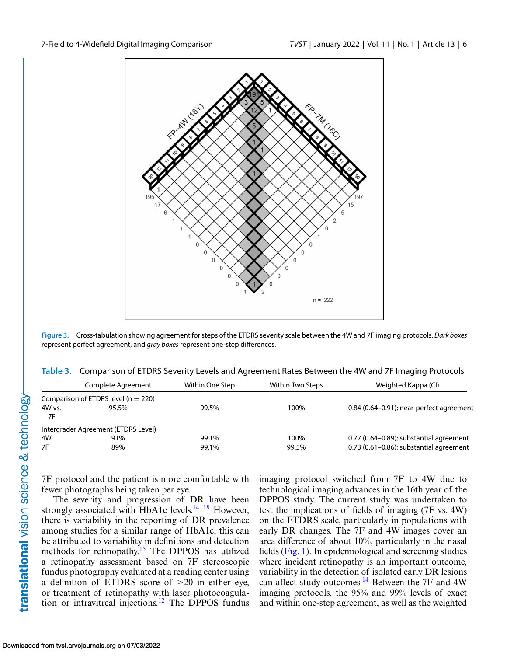<span id="page-5-0"></span>

**Figure 3.** Cross-tabulation showing agreement for steps of the ETDRS severity scale between the 4W and 7F imaging protocols. *Dark boxes* represent perfect agreement, and *gray boxes* represent one-step differences.

| Table 3. Comparison of ETDRS Severity Levels and Agreement Rates Between the 4W and 7F Imaging Protocols |  |  |
|----------------------------------------------------------------------------------------------------------|--|--|
|                                                                                                          |  |  |
|                                                                                                          |  |  |
|                                                                                                          |  |  |

|          | Complete Agreement                      | Within One Step | Within Two Steps | Weighted Kappa (CI)                        |
|----------|-----------------------------------------|-----------------|------------------|--------------------------------------------|
|          | Comparison of ETDRS level ( $n = 220$ ) |                 |                  |                                            |
| $4W$ vs. | 95.5%                                   | 99.5%           | 100%             | $0.84$ (0.64–0.91); near-perfect agreement |
| 7F       |                                         |                 |                  |                                            |
|          | Intergrader Agreement (ETDRS Level)     |                 |                  |                                            |
| 4W       | 91%                                     | 99.1%           | 100%             | 0.77 (0.64-0.89); substantial agreement    |
| 7F       | 89%                                     | 99.1%           | 99.5%            | $0.73$ (0.61-0.86); substantial agreement  |
|          |                                         |                 |                  |                                            |

7F protocol and the patient is more comfortable with fewer photographs being taken per eye.

The severity and progression of DR have been strongly associated with HbA1c levels.<sup>14-18</sup> However, there is variability in the reporting of DR prevalence among studies for a similar range of HbA1c; this can be attributed to variability in definitions and detection methods for retinopathy.<sup>15</sup> The DPPOS has utilized a retinopathy assessment based on 7F stereoscopic fundus photography evaluated at a reading center using a definition of ETDRS score of  $\geq 20$  in either eye, or treatment of retinopathy with laser photocoagula-tion or intravitreal injections.<sup>[12](#page-7-0)</sup> The DPPOS fundus imaging protocol switched from 7F to 4W due to technological imaging advances in the 16th year of the DPPOS study. The current study was undertaken to test the implications of fields of imaging (7F vs. 4W) on the ETDRS scale, particularly in populations with early DR changes. The 7F and 4W images cover an area difference of about 10%, particularly in the nasal fields [\(Fig. 1\)](#page-1-0). In epidemiological and screening studies where incident retinopathy is an important outcome, variability in the detection of isolated early DR lesions can affect study outcomes.<sup>[14](#page-8-0)</sup> Between the 7F and 4W imaging protocols, the 95% and 99% levels of exact and within one-step agreement, as well as the weighted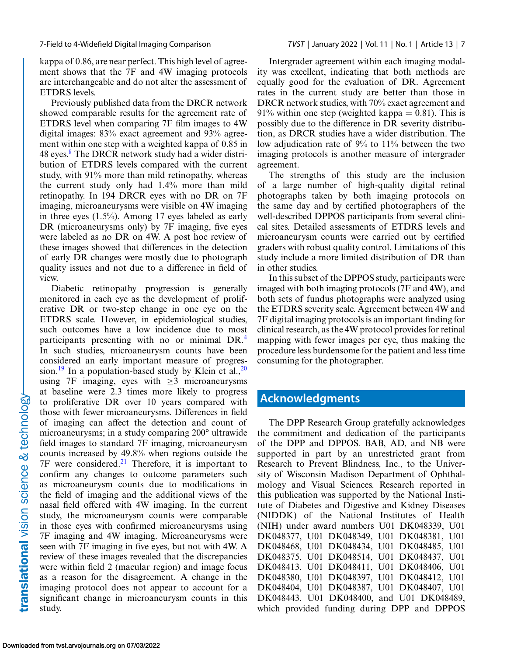kappa of 0.86, are near perfect. This high level of agreement shows that the 7F and 4W imaging protocols are interchangeable and do not alter the assessment of ETDRS levels.

Previously published data from the DRCR network showed comparable results for the agreement rate of ETDRS level when comparing 7F film images to 4W digital images: 83% exact agreement and 93% agreement within one step with a weighted kappa of 0.85 in 4[8](#page-7-0) eyes.<sup>8</sup> The DRCR network study had a wider distribution of ETDRS levels compared with the current study, with 91% more than mild retinopathy, whereas the current study only had 1.4% more than mild retinopathy. In 194 DRCR eyes with no DR on 7F imaging, microaneurysms were visible on 4W imaging in three eyes (1.5%). Among 17 eyes labeled as early DR (microaneurysms only) by 7F imaging, five eyes were labeled as no DR on 4W. A post hoc review of these images showed that differences in the detection of early DR changes were mostly due to photograph quality issues and not due to a difference in field of view.

Diabetic retinopathy progression is generally monitored in each eye as the development of proliferative DR or two-step change in one eye on the ETDRS scale. However, in epidemiological studies, such outcomes have a low incidence due to most participants presenting with no or minimal DR[.4](#page-7-0) In such studies, microaneurysm counts have been considered an early important measure of progression.<sup>19</sup> In a population-based study by Klein et al.,  $^{20}$  $^{20}$  $^{20}$ using 7F imaging, eyes with  $\geq$ 3 microaneurysms at baseline were 2.3 times more likely to progress to proliferative DR over 10 years compared with those with fewer microaneurysms. Differences in field of imaging can affect the detection and count of microaneurysms; in a study comparing 200° ultrawide field images to standard 7F imaging, microaneurysm counts increased by 49.8% when regions outside the  $7F$  were considered.<sup>[21](#page-8-0)</sup> Therefore, it is important to confirm any changes to outcome parameters such as microaneurysm counts due to modifications in the field of imaging and the additional views of the nasal field offered with 4W imaging. In the current study, the microaneurysm counts were comparable in those eyes with confirmed microaneurysms using 7F imaging and 4W imaging. Microaneurysms were seen with 7F imaging in five eyes, but not with 4W. A review of these images revealed that the discrepancies were within field 2 (macular region) and image focus as a reason for the disagreement. A change in the imaging protocol does not appear to account for a significant change in microaneurysm counts in this study.

Intergrader agreement within each imaging modality was excellent, indicating that both methods are equally good for the evaluation of DR. Agreement rates in the current study are better than those in DRCR network studies, with 70% exact agreement and 91% within one step (weighted kappa =  $0.81$ ). This is possibly due to the difference in DR severity distribution, as DRCR studies have a wider distribution. The low adjudication rate of 9% to 11% between the two imaging protocols is another measure of intergrader agreement.

The strengths of this study are the inclusion of a large number of high-quality digital retinal photographs taken by both imaging protocols on the same day and by certified photographers of the well-described DPPOS participants from several clinical sites. Detailed assessments of ETDRS levels and microaneurysm counts were carried out by certified graders with robust quality control. Limitations of this study include a more limited distribution of DR than in other studies.

In this subset of the DPPOS study, participants were imaged with both imaging protocols (7F and 4W), and both sets of fundus photographs were analyzed using the ETDRS severity scale. Agreement between 4W and 7F digital imaging protocols is an important finding for clinical research, as the 4W protocol provides for retinal mapping with fewer images per eye, thus making the procedure less burdensome for the patient and less time consuming for the photographer.

### **Acknowledgments**

The DPP Research Group gratefully acknowledges the commitment and dedication of the participants of the DPP and DPPOS. BAB, AD, and NB were supported in part by an unrestricted grant from Research to Prevent Blindness, Inc., to the University of Wisconsin Madison Department of Ophthalmology and Visual Sciences. Research reported in this publication was supported by the National Institute of Diabetes and Digestive and Kidney Diseases (NIDDK) of the National Institutes of Health (NIH) under award numbers U01 DK048339, U01 DK048377, U01 DK048349, U01 DK048381, U01 DK048468, U01 DK048434, U01 DK048485, U01 DK048375, U01 DK048514, U01 DK048437, U01 DK048413, U01 DK048411, U01 DK048406, U01 DK048380, U01 DK048397, U01 DK048412, U01 DK048404, U01 DK048387, U01 DK048407, U01 DK048443, U01 DK048400, and U01 DK048489, which provided funding during DPP and DPPOS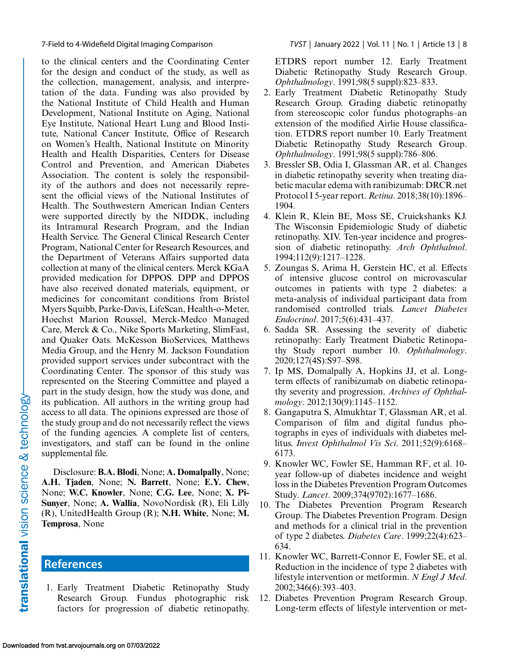<span id="page-7-0"></span>to the clinical centers and the Coordinating Center for the design and conduct of the study, as well as the collection, management, analysis, and interpretation of the data. Funding was also provided by the National Institute of Child Health and Human Development, National Institute on Aging, National Eye Institute, National Heart Lung and Blood Institute, National Cancer Institute, Office of Research on Women's Health, National Institute on Minority Health and Health Disparities, Centers for Disease Control and Prevention, and American Diabetes Association. The content is solely the responsibility of the authors and does not necessarily represent the official views of the National Institutes of Health. The Southwestern American Indian Centers were supported directly by the NIDDK, including its Intramural Research Program, and the Indian Health Service. The General Clinical Research Center Program, National Center for Research Resources, and the Department of Veterans Affairs supported data collection at many of the clinical centers. Merck KGaA provided medication for DPPOS. DPP and DPPOS have also received donated materials, equipment, or medicines for concomitant conditions from Bristol Myers Squibb, Parke-Davis, LifeScan, Health-o-Meter, Hoechst Marion Roussel, Merck-Medco Managed Care, Merck & Co., Nike Sports Marketing, SlimFast, and Quaker Oats. McKesson BioServices, Matthews Media Group, and the Henry M. Jackson Foundation provided support services under subcontract with the Coordinating Center. The sponsor of this study was represented on the Steering Committee and played a part in the study design, how the study was done, and its publication. All authors in the writing group had access to all data. The opinions expressed are those of the study group and do not necessarily reflect the views of the funding agencies. A complete list of centers, investigators, and staff can be found in the online supplemental file.

Disclosure: **B.A. Blodi**, None; **A. Domalpally**, None; **A.H. Tjaden**, None; **N. Barrett**, None; **E.Y. Chew**, None; **W.C. Knowler**, None; **C.G. Lee**, None; **X. Pi-Sunyer**, None; **A. Wallia**, NovoNordisk (R), Eli Lilly (R), UnitedHealth Group (R); **N.H. White**, None; **M. Temprosa**, None

## **References**

1. Early Treatment Diabetic Retinopathy Study Research Group. Fundus photographic risk factors for progression of diabetic retinopathy. ETDRS report number 12. Early Treatment Diabetic Retinopathy Study Research Group. *Ophthalmology*. 1991;98(5 suppl):823–833.

- 2. Early Treatment Diabetic Retinopathy Study Research Group. Grading diabetic retinopathy from stereoscopic color fundus photographs–an extension of the modified Airlie House classification. ETDRS report number 10. Early Treatment Diabetic Retinopathy Study Research Group. *Ophthalmology*. 1991;98(5 suppl):786–806.
- 3. Bressler SB, Odia I, Glassman AR, et al. Changes in diabetic retinopathy severity when treating diabetic macular edema with ranibizumab: DRCR.net Protocol I 5-year report. *Retina*. 2018;38(10):1896– 1904.
- 4. Klein R, Klein BE, Moss SE, Cruickshanks KJ. The Wisconsin Epidemiologic Study of diabetic retinopathy. XIV. Ten-year incidence and progression of diabetic retinopathy. *Arch Ophthalmol*. 1994;112(9):1217–1228.
- 5. Zoungas S, Arima H, Gerstein HC, et al. Effects of intensive glucose control on microvascular outcomes in patients with type 2 diabetes: a meta-analysis of individual participant data from randomised controlled trials. *Lancet Diabetes Endocrinol*. 2017;5(6):431–437.
- 6. Sadda SR. Assessing the severity of diabetic retinopathy: Early Treatment Diabetic Retinopathy Study report number 10. *Ophthalmology*. 2020;127(4S):S97–S98.
- 7. Ip MS, Domalpally A, Hopkins JJ, et al. Longterm effects of ranibizumab on diabetic retinopathy severity and progression. *Archives of Ophthalmology*. 2012;130(9):1145–1152.
- 8. Gangaputra S, Almukhtar T, Glassman AR, et al. Comparison of film and digital fundus photographs in eyes of individuals with diabetes mellitus. *Invest Ophthalmol Vis Sci*. 2011;52(9):6168– 6173.
- 9. Knowler WC, Fowler SE, Hamman RF, et al. 10 year follow-up of diabetes incidence and weight loss in the Diabetes Prevention Program Outcomes Study. *Lancet*. 2009;374(9702):1677–1686.
- 10. The Diabetes Prevention Program Research Group. The Diabetes Prevention Program. Design and methods for a clinical trial in the prevention of type 2 diabetes. *Diabetes Care*. 1999;22(4):623– 634.
- 11. Knowler WC, Barrett-Connor E, Fowler SE, et al. Reduction in the incidence of type 2 diabetes with lifestyle intervention or metformin. *N Engl J Med*. 2002;346(6):393–403.
- 12. Diabetes Prevention Program Research Group. Long-term effects of lifestyle intervention or met-